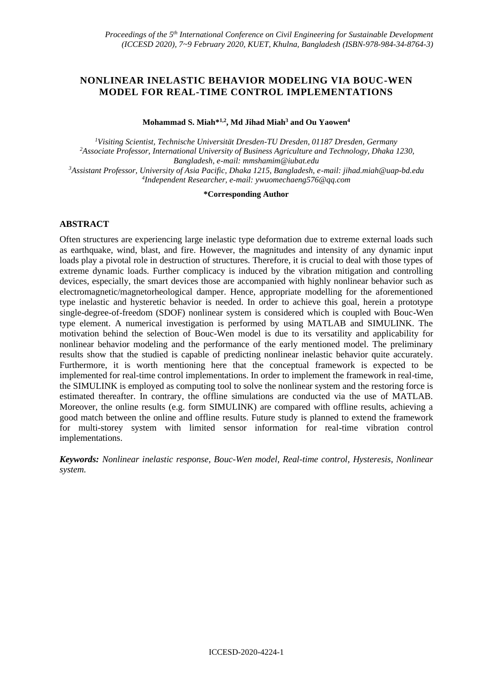# **NONLINEAR INELASTIC BEHAVIOR MODELING VIA BOUC-WEN MODEL FOR REAL-TIME CONTROL IMPLEMENTATIONS**

**Mohammad S. Miah\*1,2, Md Jihad Miah<sup>3</sup> and Ou Yaowen<sup>4</sup>**

*Visiting Scientist, Technische Universität Dresden-TU Dresden, 01187 Dresden, Germany Associate Professor, International University of Business Agriculture and Technology, Dhaka 1230, Bangladesh, e-mail: mmshamim@iubat.edu Assistant Professor, University of Asia Pacific, Dhaka 1215, Bangladesh, e-mail: jihad.miah@uap-bd.edu Independent Researcher, e-mail: ywuomechaeng576@qq.com*

**\*Corresponding Author**

## **ABSTRACT**

Often structures are experiencing large inelastic type deformation due to extreme external loads such as earthquake, wind, blast, and fire. However, the magnitudes and intensity of any dynamic input loads play a pivotal role in destruction of structures. Therefore, it is crucial to deal with those types of extreme dynamic loads. Further complicacy is induced by the vibration mitigation and controlling devices, especially, the smart devices those are accompanied with highly nonlinear behavior such as electromagnetic/magnetorheological damper. Hence, appropriate modelling for the aforementioned type inelastic and hysteretic behavior is needed. In order to achieve this goal, herein a prototype single-degree-of-freedom (SDOF) nonlinear system is considered which is coupled with Bouc-Wen type element. A numerical investigation is performed by using MATLAB and SIMULINK. The motivation behind the selection of Bouc-Wen model is due to its versatility and applicability for nonlinear behavior modeling and the performance of the early mentioned model. The preliminary results show that the studied is capable of predicting nonlinear inelastic behavior quite accurately. Furthermore, it is worth mentioning here that the conceptual framework is expected to be implemented for real-time control implementations. In order to implement the framework in real-time, the SIMULINK is employed as computing tool to solve the nonlinear system and the restoring force is estimated thereafter. In contrary, the offline simulations are conducted via the use of MATLAB. Moreover, the online results (e.g. form SIMULINK) are compared with offline results, achieving a good match between the online and offline results. Future study is planned to extend the framework for multi-storey system with limited sensor information for real-time vibration control implementations.

*Keywords: Nonlinear inelastic response, Bouc-Wen model, Real-time control, Hysteresis, Nonlinear system.*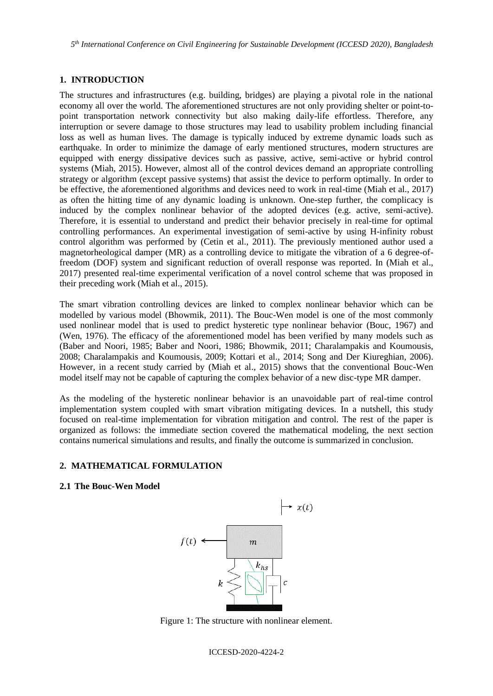*5 th International Conference on Civil Engineering for Sustainable Development (ICCESD 2020), Bangladesh*

## **1. INTRODUCTION**

The structures and infrastructures (e.g. building, bridges) are playing a pivotal role in the national economy all over the world. The aforementioned structures are not only providing shelter or point-topoint transportation network connectivity but also making daily-life effortless. Therefore, any interruption or severe damage to those structures may lead to usability problem including financial loss as well as human lives. The damage is typically induced by extreme dynamic loads such as earthquake. In order to minimize the damage of early mentioned structures, modern structures are equipped with energy dissipative devices such as passive, active, semi-active or hybrid control systems (Miah, 2015). However, almost all of the control devices demand an appropriate controlling strategy or algorithm (except passive systems) that assist the device to perform optimally. In order to be effective, the aforementioned algorithms and devices need to work in real-time (Miah et al., 2017) as often the hitting time of any dynamic loading is unknown. One-step further, the complicacy is induced by the complex nonlinear behavior of the adopted devices (e.g. active, semi-active). Therefore, it is essential to understand and predict their behavior precisely in real-time for optimal controlling performances. An experimental investigation of semi-active by using H-infinity robust control algorithm was performed by (Cetin et al., 2011). The previously mentioned author used a magnetorheological damper (MR) as a controlling device to mitigate the vibration of a 6 degree-offreedom (DOF) system and significant reduction of overall response was reported. In (Miah et al., 2017) presented real-time experimental verification of a novel control scheme that was proposed in their preceding work (Miah et al., 2015).

The smart vibration controlling devices are linked to complex nonlinear behavior which can be modelled by various model (Bhowmik, 2011). The Bouc-Wen model is one of the most commonly used nonlinear model that is used to predict hysteretic type nonlinear behavior (Bouc, 1967) and (Wen, 1976). The efficacy of the aforementioned model has been verified by many models such as (Baber and Noori, 1985; Baber and Noori, 1986; Bhowmik, 2011; Charalampakis and Koumousis, 2008; Charalampakis and Koumousis, 2009; Kottari et al., 2014; Song and Der Kiureghian, 2006). However, in a recent study carried by (Miah et al., 2015) shows that the conventional Bouc-Wen model itself may not be capable of capturing the complex behavior of a new disc-type MR damper.

As the modeling of the hysteretic nonlinear behavior is an unavoidable part of real-time control implementation system coupled with smart vibration mitigating devices. In a nutshell, this study focused on real-time implementation for vibration mitigation and control. The rest of the paper is organized as follows: the immediate section covered the mathematical modeling, the next section contains numerical simulations and results, and finally the outcome is summarized in conclusion.

# **2. MATHEMATICAL FORMULATION**

## **2.1 The Bouc-Wen Model**



Figure 1: The structure with nonlinear element.

ICCESD-2020-4224-2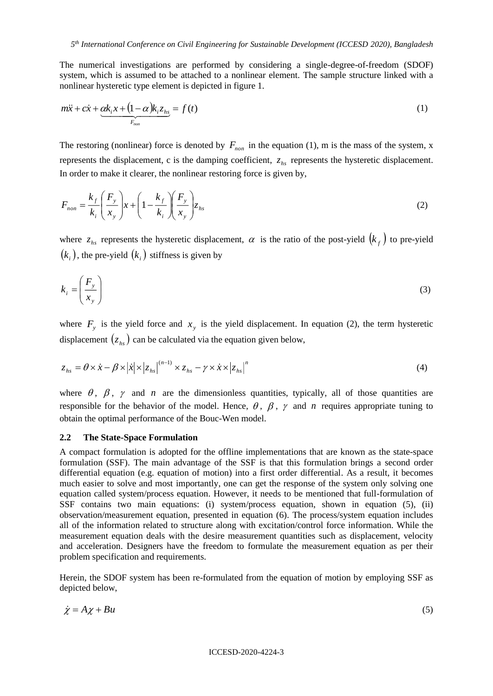The numerical investigations are performed by considering a single-degree-of-freedom (SDOF) system, which is assumed to be attached to a nonlinear element. The sample structure linked with a nonlinear hysteretic type element is depicted in figure 1.

$$
m\ddot{x} + c\dot{x} + \underbrace{\alpha k_i x + (1 - \alpha)k_i z_{hs}}_{F_{non}}
$$
 = f(t) (1)

The restoring (nonlinear) force is denoted by  $F_{\text{non}}$  in the equation (1), m is the mass of the system, x represents the displacement, c is the damping coefficient,  $z_{hs}$  represents the hysteretic displacement. In order to make it clearer, the nonlinear restoring force is given by,

$$
F_{non} = \frac{k_f}{k_i} \left(\frac{F_y}{x_y}\right) x + \left(1 - \frac{k_f}{k_i}\right) \left(\frac{F_y}{x_y}\right) z_{hs}
$$
 (2)

where  $z_{hs}$  represents the hysteretic displacement,  $\alpha$  is the ratio of the post-yield  $(k_f)$  to pre-yield  $\left( k_{_{i}}\right)$ , the pre-yield  $\left( k_{_{i}}\right)$  stiffness is given by

$$
k_i = \left(\frac{F_y}{x_y}\right) \tag{3}
$$

where  $F_y$  is the yield force and  $x_y$  is the yield displacement. In equation (2), the term hysteretic displacement  $(z_{hs})$  can be calculated via the equation given below,

$$
z_{hs} = \theta \times \dot{x} - \beta \times |\dot{x}| \times |z_{hs}|^{(n-1)} \times z_{hs} - \gamma \times \dot{x} \times |z_{hs}|^{n}
$$
\n(4)

where  $\theta$ ,  $\beta$ ,  $\gamma$  and *n* are the dimensionless quantities, typically, all of those quantities are responsible for the behavior of the model. Hence,  $\theta$ ,  $\beta$ ,  $\gamma$  and  $n$  requires appropriate tuning to obtain the optimal performance of the Bouc-Wen model.

### **2.2 The State-Space Formulation**

A compact formulation is adopted for the offline implementations that are known as the state-space formulation (SSF). The main advantage of the SSF is that this formulation brings a second order differential equation (e.g. equation of motion) into a first order differential. As a result, it becomes much easier to solve and most importantly, one can get the response of the system only solving one equation called system/process equation. However, it needs to be mentioned that full-formulation of SSF contains two main equations: (i) system/process equation, shown in equation (5), (ii) observation/measurement equation, presented in equation (6). The process/system equation includes all of the information related to structure along with excitation/control force information. While the measurement equation deals with the desire measurement quantities such as displacement, velocity and acceleration. Designers have the freedom to formulate the measurement equation as per their problem specification and requirements.

Herein, the SDOF system has been re-formulated from the equation of motion by employing SSF as depicted below,

$$
\dot{\chi} = A\chi + Bu \tag{5}
$$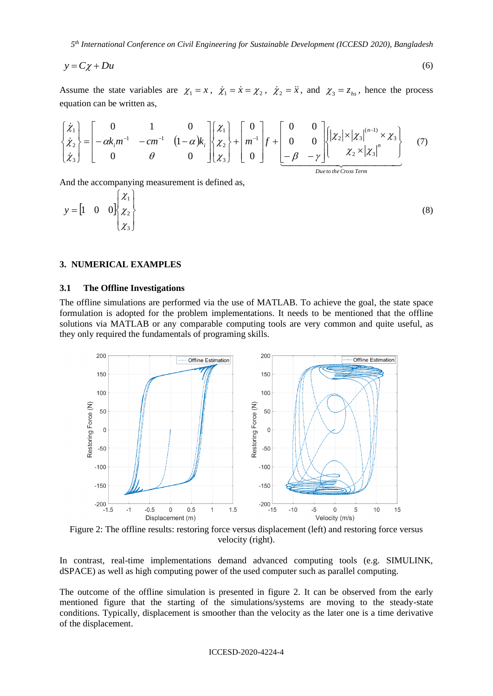*5 th International Conference on Civil Engineering for Sustainable Development (ICCESD 2020), Bangladesh*

$$
y = C\chi + Du \tag{6}
$$

Assume the state variables are  $\chi_1 = x$ ,  $\dot{\chi}_1 = \dot{x} = \chi_2$ ,  $\dot{\chi}_2 = \ddot{x}$ , and  $\chi_3 = z_{hs}$ , hence the process equation can be written as,

$$
\begin{Bmatrix} \dot{\chi}_1 \\ \dot{\chi}_2 \\ \dot{\chi}_3 \end{Bmatrix} = \begin{bmatrix} 0 & 1 & 0 \\ -\alpha k_i m^{-1} & -cm^{-1} & (1-\alpha)k_i \\ 0 & \theta & 0 \end{bmatrix} \begin{bmatrix} \chi_1 \\ \chi_2 \\ \chi_3 \end{bmatrix} + \begin{bmatrix} 0 \\ m^{-1} \\ 0 \end{bmatrix} f + \begin{bmatrix} 0 & 0 \\ 0 & 0 \\ -\beta & -\gamma \end{bmatrix} \begin{bmatrix} |\chi_2| \times |\chi_3|^{(n-1)} \times \chi_3 \\ \chi_2 \times |\chi_3|^n \end{bmatrix} \tag{7}
$$

And the accompanying measurement is defined as,

$$
y = \begin{bmatrix} 1 & 0 & 0 \end{bmatrix} \begin{bmatrix} \chi_1 \\ \chi_2 \\ \chi_3 \end{bmatrix}
$$
 (8)

## **3. NUMERICAL EXAMPLES**

### **3.1 The Offline Investigations**

The offline simulations are performed via the use of MATLAB. To achieve the goal, the state space formulation is adopted for the problem implementations. It needs to be mentioned that the offline solutions via MATLAB or any comparable computing tools are very common and quite useful, as they only required the fundamentals of programing skills.



Figure 2: The offline results: restoring force versus displacement (left) and restoring force versus velocity (right).

In contrast, real-time implementations demand advanced computing tools (e.g. SIMULINK, dSPACE) as well as high computing power of the used computer such as parallel computing.

The outcome of the offline simulation is presented in figure 2. It can be observed from the early mentioned figure that the starting of the simulations/systems are moving to the steady-state conditions. Typically, displacement is smoother than the velocity as the later one is a time derivative of the displacement.

#### ICCESD-2020-4224-4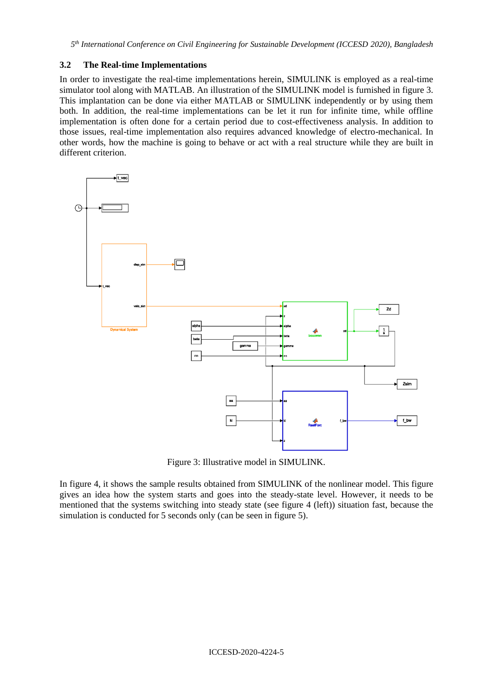## **3.2 The Real-time Implementations**

In order to investigate the real-time implementations herein, SIMULINK is employed as a real-time simulator tool along with MATLAB. An illustration of the SIMULINK model is furnished in figure 3. This implantation can be done via either MATLAB or SIMULINK independently or by using them both. In addition, the real-time implementations can be let it run for infinite time, while offline implementation is often done for a certain period due to cost-effectiveness analysis. In addition to those issues, real-time implementation also requires advanced knowledge of electro-mechanical. In other words, how the machine is going to behave or act with a real structure while they are built in different criterion.



Figure 3: Illustrative model in SIMULINK.

In figure 4, it shows the sample results obtained from SIMULINK of the nonlinear model. This figure gives an idea how the system starts and goes into the steady-state level. However, it needs to be mentioned that the systems switching into steady state (see figure 4 (left)) situation fast, because the simulation is conducted for 5 seconds only (can be seen in figure 5).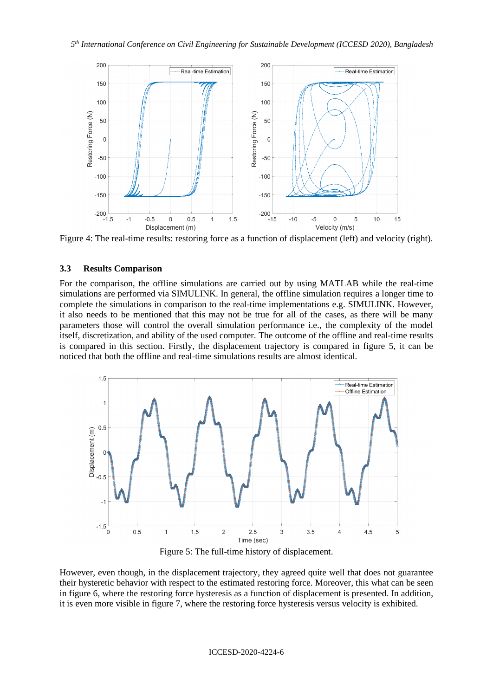

Figure 4: The real-time results: restoring force as a function of displacement (left) and velocity (right).

## **3.3 Results Comparison**

For the comparison, the offline simulations are carried out by using MATLAB while the real-time simulations are performed via SIMULINK. In general, the offline simulation requires a longer time to complete the simulations in comparison to the real-time implementations e.g. SIMULINK. However, it also needs to be mentioned that this may not be true for all of the cases, as there will be many parameters those will control the overall simulation performance i.e., the complexity of the model itself, discretization, and ability of the used computer. The outcome of the offline and real-time results is compared in this section. Firstly, the displacement trajectory is compared in figure 5, it can be noticed that both the offline and real-time simulations results are almost identical.



Figure 5: The full-time history of displacement.

However, even though, in the displacement trajectory, they agreed quite well that does not guarantee their hysteretic behavior with respect to the estimated restoring force. Moreover, this what can be seen in figure 6, where the restoring force hysteresis as a function of displacement is presented. In addition, it is even more visible in figure 7, where the restoring force hysteresis versus velocity is exhibited.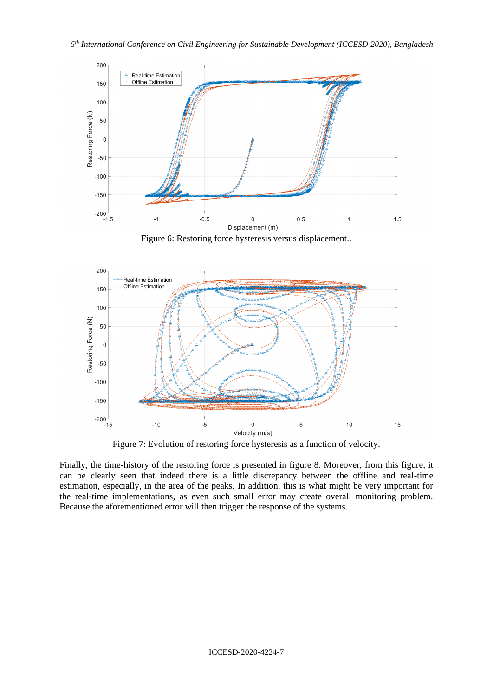### *5 th International Conference on Civil Engineering for Sustainable Development (ICCESD 2020), Bangladesh*



Figure 6: Restoring force hysteresis versus displacement..



Figure 7: Evolution of restoring force hysteresis as a function of velocity.

Finally, the time-history of the restoring force is presented in figure 8. Moreover, from this figure, it can be clearly seen that indeed there is a little discrepancy between the offline and real-time estimation, especially, in the area of the peaks. In addition, this is what might be very important for the real-time implementations, as even such small error may create overall monitoring problem. Because the aforementioned error will then trigger the response of the systems.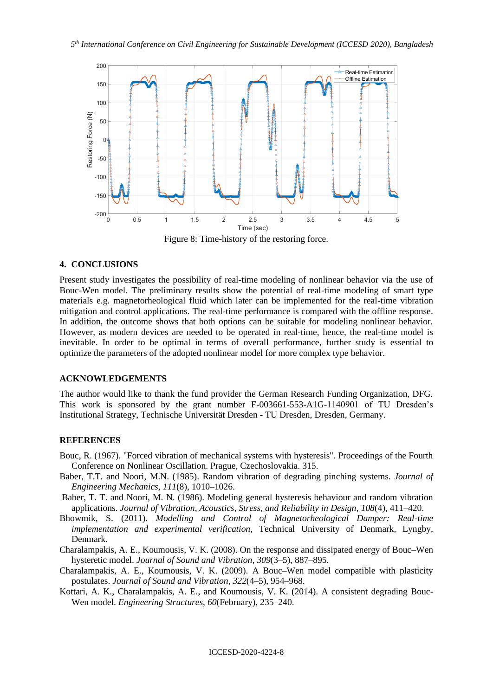

Figure 8: Time-history of the restoring force.

### **4. CONCLUSIONS**

Present study investigates the possibility of real-time modeling of nonlinear behavior via the use of Bouc-Wen model. The preliminary results show the potential of real-time modeling of smart type materials e.g. magnetorheological fluid which later can be implemented for the real-time vibration mitigation and control applications. The real-time performance is compared with the offline response. In addition, the outcome shows that both options can be suitable for modeling nonlinear behavior. However, as modern devices are needed to be operated in real-time, hence, the real-time model is inevitable. In order to be optimal in terms of overall performance, further study is essential to optimize the parameters of the adopted nonlinear model for more complex type behavior.

## **ACKNOWLEDGEMENTS**

The author would like to thank the fund provider the German Research Funding Organization, DFG. This work is sponsored by the grant number F-003661-553-A1G-1140901 of TU Dresden's Institutional Strategy, Technische Universität Dresden - TU Dresden, Dresden, Germany.

## **REFERENCES**

- Bouc, R. (1967). "Forced vibration of mechanical systems with hysteresis". Proceedings of the Fourth Conference on Nonlinear Oscillation. Prague, Czechoslovakia. 315.
- Baber, T.T. and Noori, M.N. (1985). Random vibration of degrading pinching systems. *Journal of Engineering Mechanics*, *111*(8), 1010–1026.
- Baber, T. T. and Noori, M. N. (1986). Modeling general hysteresis behaviour and random vibration applications. *Journal of Vibration, Acoustics, Stress, and Reliability in Design*, *108*(4), 411–420.
- Bhowmik, S. (2011). *Modelling and Control of Magnetorheological Damper: Real-time implementation and experimental verification*, Technical University of Denmark, Lyngby, Denmark.
- Charalampakis, A. E., Koumousis, V. K. (2008). On the response and dissipated energy of Bouc–Wen hysteretic model. *Journal of Sound and Vibration, 309*(3–5), 887–895.
- Charalampakis, A. E., Koumousis, V. K. (2009). A Bouc–Wen model compatible with plasticity postulates. *Journal of Sound and Vibration*, *322*(4–5), 954–968.
- Kottari, A. K., Charalampakis, A. E., and Koumousis, V. K. (2014). A consistent degrading Bouc-Wen model. *Engineering Structures*, *60*(February), 235–240.